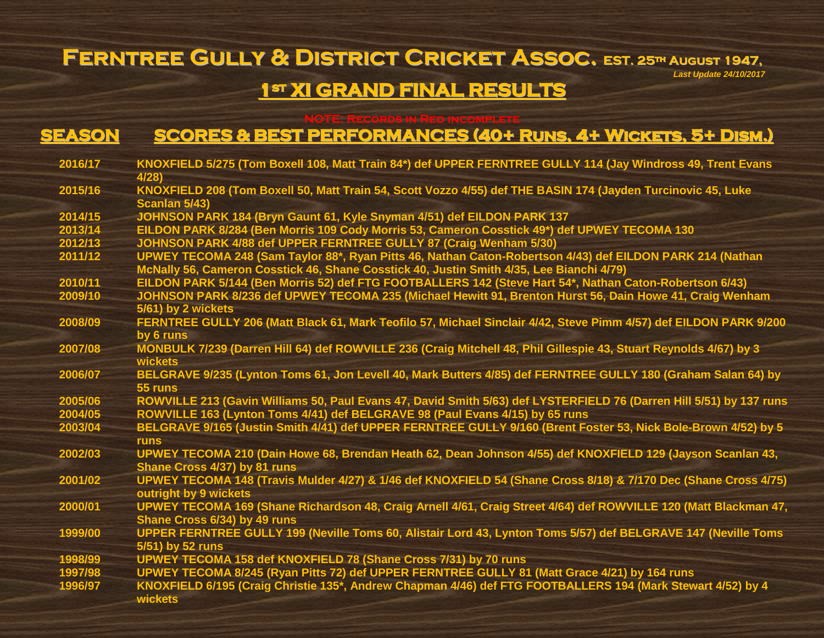### **Ferntree Gully & District Cricket Assoc. EST. <sup>25</sup>th August 1947,** *Last Update 24/10/2017* **1st XI GRAND FINAL RESULTS**

### **NOTE: Records in Red incomplete**

# **SEASON SCORES & BEST PERFORMANCES (40+ Runs, 4+ Wickets, 5+ Dism.)**

| 2016/17 | KNOXFIELD 5/275 (Tom Boxell 108, Matt Train 84*) def UPPER FERNTREE GULLY 114 (Jay Windross 49, Trent Evans         |
|---------|---------------------------------------------------------------------------------------------------------------------|
|         | 4/28                                                                                                                |
| 2015/16 | KNOXFIELD 208 (Tom Boxell 50, Matt Train 54, Scott Vozzo 4/55) def THE BASIN 174 (Jayden Turcinovic 45, Luke        |
|         | Scanlan 5/43)                                                                                                       |
| 2014/15 | JOHNSON PARK 184 (Bryn Gaunt 61, Kyle Snyman 4/51) def EILDON PARK 137                                              |
| 2013/14 | EILDON PARK 8/284 (Ben Morris 109 Cody Morris 53, Cameron Cosstick 49*) def UPWEY TECOMA 130                        |
| 2012/13 | JOHNSON PARK 4/88 def UPPER FERNTREE GULLY 87 (Craig Wenham 5/30)                                                   |
| 2011/12 | UPWEY TECOMA 248 (Sam Taylor 88*, Ryan Pitts 46, Nathan Caton-Robertson 4/43) def EILDON PARK 214 (Nathan           |
|         | McNally 56, Cameron Cosstick 46, Shane Cosstick 40, Justin Smith 4/35, Lee Bianchi 4/79)                            |
| 2010/11 | EILDON PARK 5/144 (Ben Morris 52) def FTG FOOTBALLERS 142 (Steve Hart 54*, Nathan Caton-Robertson 6/43)             |
| 2009/10 | JOHNSON PARK 8/236 def UPWEY TECOMA 235 (Michael Hewitt 91, Brenton Hurst 56, Dain Howe 41, Craig Wenham            |
|         | 5/61) by 2 wickets                                                                                                  |
| 2008/09 | FERNTREE GULLY 206 (Matt Black 61, Mark Teofilo 57, Michael Sinclair 4/42, Steve Pimm 4/57) def EILDON PARK 9/200   |
|         | by 6 runs                                                                                                           |
| 2007/08 | MONBULK 7/239 (Darren Hill 64) def ROWVILLE 236 (Craig Mitchell 48, Phil Gillespie 43, Stuart Reynolds 4/67) by 3   |
|         | wickets                                                                                                             |
| 2006/07 | BELGRAVE 9/235 (Lynton Toms 61, Jon Levell 40, Mark Butters 4/85) def FERNTREE GULLY 180 (Graham Salan 64) by       |
|         | 55 runs                                                                                                             |
| 2005/06 | ROWVILLE 213 (Gavin Williams 50, Paul Evans 47, David Smith 5/63) def LYSTERFIELD 76 (Darren Hill 5/51) by 137 runs |
| 2004/05 | ROWVILLE 163 (Lynton Toms 4/41) def BELGRAVE 98 (Paul Evans 4/15) by 65 runs                                        |
| 2003/04 | BELGRAVE 9/165 (Justin Smith 4/41) def UPPER FERNTREE GULLY 9/160 (Brent Foster 53, Nick Bole-Brown 4/52) by 5      |
|         | <b>runs</b>                                                                                                         |
| 2002/03 | UPWEY TECOMA 210 (Dain Howe 68, Brendan Heath 62, Dean Johnson 4/55) def KNOXFIELD 129 (Jayson Scanlan 43,          |
|         | Shane Cross 4/37) by 81 runs                                                                                        |
| 2001/02 | UPWEY TECOMA 148 (Travis Mulder 4/27) & 1/46 def KNOXFIELD 54 (Shane Cross 8/18) & 7/170 Dec (Shane Cross 4/75)     |
|         | outright by 9 wickets                                                                                               |
| 2000/01 | UPWEY TECOMA 169 (Shane Richardson 48, Craig Arnell 4/61, Craig Street 4/64) def ROWVILLE 120 (Matt Blackman 47,    |
|         | Shane Cross 6/34) by 49 runs                                                                                        |
| 1999/00 | UPPER FERNTREE GULLY 199 (Neville Toms 60, Alistair Lord 43, Lynton Toms 5/57) def BELGRAVE 147 (Neville Toms       |
|         | 5/51) by 52 runs                                                                                                    |
| 1998/99 | UPWEY TECOMA 158 def KNOXFIELD 78 (Shane Cross 7/31) by 70 runs                                                     |
| 1997/98 | UPWEY TECOMA 8/245 (Ryan Pitts 72) def UPPER FERNTREE GULLY 81 (Matt Grace 4/21) by 164 runs                        |
| 1996/97 | KNOXFIELD 6/195 (Craig Christie 135*, Andrew Chapman 4/46) def FTG FOOTBALLERS 194 (Mark Stewart 4/52) by 4         |
|         | wickets                                                                                                             |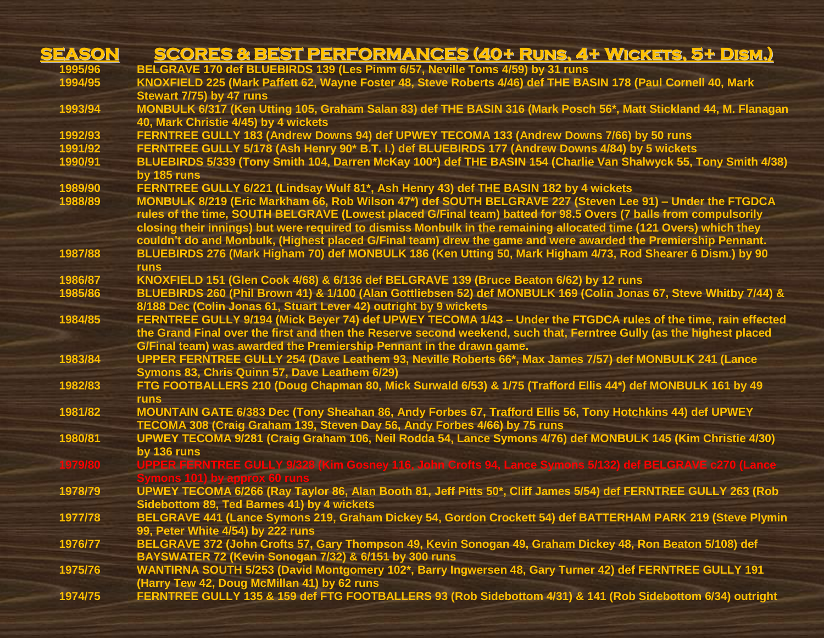| SEASON  | <b>SCORES &amp; BEST PERFORMANCES (40+ RUNS, 4+ WICKETS, 5+ DISM.)</b>                                               |
|---------|----------------------------------------------------------------------------------------------------------------------|
| 1995/96 | BELGRAVE 170 def BLUEBIRDS 139 (Les Pimm 6/57, Neville Toms 4/59) by 31 runs                                         |
| 1994/95 | KNOXFIELD 225 (Mark Paffett 62, Wayne Foster 48, Steve Roberts 4/46) def THE BASIN 178 (Paul Cornell 40, Mark        |
|         | Stewart 7/75) by 47 runs                                                                                             |
| 1993/94 | MONBULK 6/317 (Ken Utting 105, Graham Salan 83) def THE BASIN 316 (Mark Posch 56*, Matt Stickland 44, M. Flanagan    |
|         | 40, Mark Christie 4/45) by 4 wickets                                                                                 |
| 1992/93 | FERNTREE GULLY 183 (Andrew Downs 94) def UPWEY TECOMA 133 (Andrew Downs 7/66) by 50 runs                             |
| 1991/92 | FERNTREE GULLY 5/178 (Ash Henry 90* B.T. I.) def BLUEBIRDS 177 (Andrew Downs 4/84) by 5 wickets                      |
| 1990/91 | BLUEBIRDS 5/339 (Tony Smith 104, Darren McKay 100*) def THE BASIN 154 (Charlie Van Shalwyck 55, Tony Smith 4/38)     |
|         | by 185 runs                                                                                                          |
| 1989/90 | FERNTREE GULLY 6/221 (Lindsay Wulf 81*, Ash Henry 43) def THE BASIN 182 by 4 wickets                                 |
| 1988/89 | MONBULK 8/219 (Eric Markham 66, Rob Wilson 47*) def SOUTH BELGRAVE 227 (Steven Lee 91) - Under the FTGDCA            |
|         | rules of the time, SOUTH BELGRAVE (Lowest placed G/Final team) batted for 98.5 Overs (7 balls from compulsorily      |
|         | closing their innings) but were required to dismiss Monbulk in the remaining allocated time (121 Overs) which they   |
|         | couldn't do and Monbulk, (Highest placed G/Final team) drew the game and were awarded the Premiership Pennant.       |
| 1987/88 | BLUEBIRDS 276 (Mark Higham 70) def MONBULK 186 (Ken Utting 50, Mark Higham 4/73, Rod Shearer 6 Dism.) by 90          |
|         | <b>runs</b>                                                                                                          |
| 1986/87 | KNOXFIELD 151 (Glen Cook 4/68) & 6/136 def BELGRAVE 139 (Bruce Beaton 6/62) by 12 runs                               |
| 1985/86 | BLUEBIRDS 260 (Phil Brown 41) & 1/100 (Alan Gottliebsen 52) def MONBULK 169 (Colin Jonas 67, Steve Whitby 7/44) &    |
|         | 8/188 Dec (Colin Jonas 61, Stuart Lever 42) outright by 9 wickets                                                    |
| 1984/85 | FERNTREE GULLY 9/194 (Mick Beyer 74) def UPWEY TECOMA 1/43 - Under the FTGDCA rules of the time, rain effected       |
|         | the Grand Final over the first and then the Reserve second weekend, such that, Ferntree Gully (as the highest placed |
|         | G/Final team) was awarded the Premiership Pennant in the drawn game.                                                 |
| 1983/84 | UPPER FERNTREE GULLY 254 (Dave Leathem 93, Neville Roberts 66*, Max James 7/57) def MONBULK 241 (Lance               |
|         | Symons 83, Chris Quinn 57, Dave Leathem 6/29)                                                                        |
| 1982/83 | FTG FOOTBALLERS 210 (Doug Chapman 80, Mick Surwald 6/53) & 1/75 (Trafford Ellis 44*) def MONBULK 161 by 49           |
|         | <b>runs</b>                                                                                                          |
| 1981/82 | MOUNTAIN GATE 6/383 Dec (Tony Sheahan 86, Andy Forbes 67, Trafford Ellis 56, Tony Hotchkins 44) def UPWEY            |
|         | TECOMA 308 (Craig Graham 139, Steven Day 56, Andy Forbes 4/66) by 75 runs                                            |
| 1980/81 | UPWEY TECOMA 9/281 (Craig Graham 106, Neil Rodda 54, Lance Symons 4/76) def MONBULK 145 (Kim Christie 4/30)          |
|         | by 136 runs                                                                                                          |
| 1979/80 | UPPER FERNTREE GULLY 9/328 (Kim Gosney 116, John Crofts 94, Lance Symons 5/132) def BELGRAVE c270 (Lance             |
|         |                                                                                                                      |
| 1978/79 | UPWEY TECOMA 6/266 (Ray Taylor 86, Alan Booth 81, Jeff Pitts 50*, Cliff James 5/54) def FERNTREE GULLY 263 (Rob      |
|         | Sidebottom 89, Ted Barnes 41) by 4 wickets                                                                           |
| 1977/78 | BELGRAVE 441 (Lance Symons 219, Graham Dickey 54, Gordon Crockett 54) def BATTERHAM PARK 219 (Steve Plymin           |
|         | 99, Peter White 4/54) by 222 runs                                                                                    |
| 1976/77 | BELGRAVE 372 (John Crofts 57, Gary Thompson 49, Kevin Sonogan 49, Graham Dickey 48, Ron Beaton 5/108) def            |
|         | BAYSWATER 72 (Kevin Sonogan 7/32) & 6/151 by 300 runs                                                                |
| 1975/76 | WANTIRNA SOUTH 5/253 (David Montgomery 102*, Barry Ingwersen 48, Gary Turner 42) def FERNTREE GULLY 191              |
|         | (Harry Tew 42, Doug McMillan 41) by 62 runs                                                                          |
| 1974/75 | FERNTREE GULLY 135 & 159 def FTG FOOTBALLERS 93 (Rob Sidebottom 4/31) & 141 (Rob Sidebottom 6/34) outright           |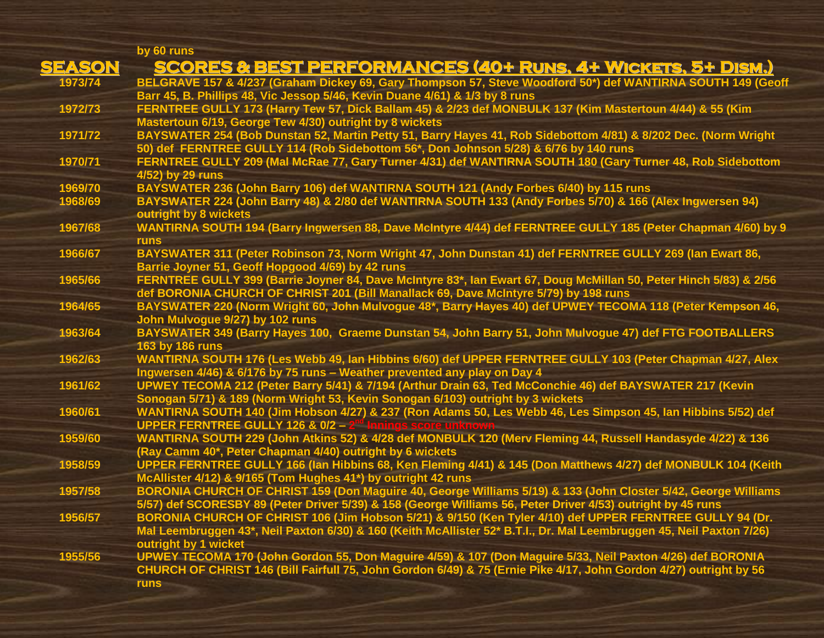| by 60 runs            |                                                                                                                                                                                      |
|-----------------------|--------------------------------------------------------------------------------------------------------------------------------------------------------------------------------------|
| <b>SEASON</b>         | <b>SCORES &amp; BEST PERFORMANCES (40+ RUNS, 4+ WICKETS, 5+ DISM.)</b>                                                                                                               |
| 1973/74               | BELGRAVE 157 & 4/237 (Graham Dickey 69, Gary Thompson 57, Steve Woodford 50*) def WANTIRNA SOUTH 149 (Geoff                                                                          |
|                       | Barr 45, B. Phillips 48, Vic Jessop 5/46, Kevin Duane 4/61) & 1/3 by 8 runs                                                                                                          |
| 1972/73               | FERNTREE GULLY 173 (Harry Tew 57, Dick Ballam 45) & 2/23 def MONBULK 137 (Kim Mastertoun 4/44) & 55 (Kim                                                                             |
|                       | Mastertoun 6/19, George Tew 4/30) outright by 8 wickets                                                                                                                              |
| 1971/72               | BAYSWATER 254 (Bob Dunstan 52, Martin Petty 51, Barry Hayes 41, Rob Sidebottom 4/81) & 8/202 Dec. (Norm Wright                                                                       |
|                       | 50) def FERNTREE GULLY 114 (Rob Sidebottom 56*, Don Johnson 5/28) & 6/76 by 140 runs                                                                                                 |
| 1970/71               | FERNTREE GULLY 209 (Mal McRae 77, Gary Turner 4/31) def WANTIRNA SOUTH 180 (Gary Turner 48, Rob Sidebottom                                                                           |
| 4/52) by 29 runs      |                                                                                                                                                                                      |
| 1969/70               | BAYSWATER 236 (John Barry 106) def WANTIRNA SOUTH 121 (Andy Forbes 6/40) by 115 runs                                                                                                 |
| 1968/69               | BAYSWATER 224 (John Barry 48) & 2/80 def WANTIRNA SOUTH 133 (Andy Forbes 5/70) & 166 (Alex Ingwersen 94)                                                                             |
| outright by 8 wickets |                                                                                                                                                                                      |
| 1967/68               | WANTIRNA SOUTH 194 (Barry Ingwersen 88, Dave McIntyre 4/44) def FERNTREE GULLY 185 (Peter Chapman 4/60) by 9                                                                         |
| <b>runs</b>           |                                                                                                                                                                                      |
| 1966/67               | BAYSWATER 311 (Peter Robinson 73, Norm Wright 47, John Dunstan 41) def FERNTREE GULLY 269 (Ian Ewart 86,                                                                             |
|                       | Barrie Joyner 51, Geoff Hopgood 4/69) by 42 runs                                                                                                                                     |
| 1965/66               | FERNTREE GULLY 399 (Barrie Joyner 84, Dave McIntyre 83*, Ian Ewart 67, Doug McMillan 50, Peter Hinch 5/83) & 2/56                                                                    |
|                       | def BORONIA CHURCH OF CHRIST 201 (Bill Manallack 69, Dave McIntyre 5/79) by 198 runs                                                                                                 |
| 1964/65               | BAYSWATER 220 (Norm Wright 60, John Mulvogue 48*, Barry Hayes 40) def UPWEY TECOMA 118 (Peter Kempson 46,                                                                            |
|                       | John Mulvogue 9/27) by 102 runs                                                                                                                                                      |
| 1963/64               | BAYSWATER 349 (Barry Hayes 100, Graeme Dunstan 54, John Barry 51, John Mulvogue 47) def FTG FOOTBALLERS                                                                              |
| 163 by 186 runs       |                                                                                                                                                                                      |
| 1962/63               | WANTIRNA SOUTH 176 (Les Webb 49, Ian Hibbins 6/60) def UPPER FERNTREE GULLY 103 (Peter Chapman 4/27, Alex                                                                            |
| 1961/62               | Ingwersen 4/46) & 6/176 by 75 runs - Weather prevented any play on Day 4<br>UPWEY TECOMA 212 (Peter Barry 5/41) & 7/194 (Arthur Drain 63, Ted McConchie 46) def BAYSWATER 217 (Kevin |
|                       | Sonogan 5/71) & 189 (Norm Wright 53, Kevin Sonogan 6/103) outright by 3 wickets                                                                                                      |
| 1960/61               | WANTIRNA SOUTH 140 (Jim Hobson 4/27) & 237 (Ron Adams 50, Les Webb 46, Les Simpson 45, Ian Hibbins 5/52) def                                                                         |
|                       | <b>UPPER FERNTREE GULLY 126 &amp; 0/2 -</b>                                                                                                                                          |
| 1959/60               | WANTIRNA SOUTH 229 (John Atkins 52) & 4/28 def MONBULK 120 (Merv Fleming 44, Russell Handasyde 4/22) & 136                                                                           |
|                       | (Ray Camm 40*, Peter Chapman 4/40) outright by 6 wickets                                                                                                                             |
| 1958/59               | UPPER FERNTREE GULLY 166 (Ian Hibbins 68, Ken Fleming 4/41) & 145 (Don Matthews 4/27) def MONBULK 104 (Keith                                                                         |
|                       | McAllister 4/12) & 9/165 (Tom Hughes 41*) by outright 42 runs                                                                                                                        |
| 1957/58               | BORONIA CHURCH OF CHRIST 159 (Don Maguire 40, George Williams 5/19) & 133 (John Closter 5/42, George Williams                                                                        |
|                       | 5/57) def SCORESBY 89 (Peter Driver 5/39) & 158 (George Williams 56, Peter Driver 4/53) outright by 45 runs                                                                          |
| 1956/57               | BORONIA CHURCH OF CHRIST 106 (Jim Hobson 5/21) & 9/150 (Ken Tyler 4/10) def UPPER FERNTREE GULLY 94 (Dr.                                                                             |
|                       | Mal Leembruggen 43*, Neil Paxton 6/30) & 160 (Keith McAllister 52* B.T.I., Dr. Mal Leembruggen 45, Neil Paxton 7/26)                                                                 |
| outright by 1 wicket  |                                                                                                                                                                                      |
| 1955/56               | UPWEY TECOMA 170 (John Gordon 55, Don Maguire 4/59) & 107 (Don Maguire 5/33, Neil Paxton 4/26) def BORONIA                                                                           |
|                       | CHURCH OF CHRIST 146 (Bill Fairfull 75, John Gordon 6/49) & 75 (Ernie Pike 4/17, John Gordon 4/27) outright by 56                                                                    |
| <b>runs</b>           |                                                                                                                                                                                      |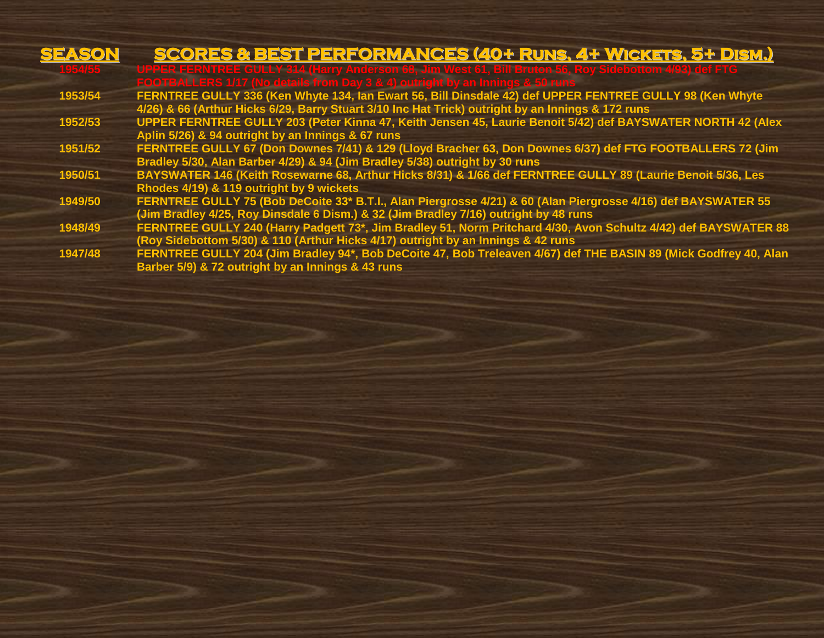| SEASON  | <b>SCORES &amp; BEST PERFORMANCES (40+ RUNS, 4+ WICKETS, 5+ DISM.)</b>                                                                                                                                        |
|---------|---------------------------------------------------------------------------------------------------------------------------------------------------------------------------------------------------------------|
| 195455  | UPPER FERNTREE GULLY 314 (Harry Anderson 68, Jim West 61, Bill Bruton 56, Roy Sidebottom 4/93) def FTG<br>FOOTBALLERS 1/17 (No details from Day 3 & 4) outright by an Innings & 50 runs                       |
| 1953/54 | FERNTREE GULLY 336 (Ken Whyte 134, Ian Ewart 56, Bill Dinsdale 42) def UPPER FENTREE GULLY 98 (Ken Whyte<br>4/26) & 66 (Arthur Hicks 6/29, Barry Stuart 3/10 Inc Hat Trick) outright by an Innings & 172 runs |
| 1952/53 | UPPER FERNTREE GULLY 203 (Peter Kinna 47, Keith Jensen 45, Laurie Benoit 5/42) def BAYSWATER NORTH 42 (Alex<br>Aplin 5/26) & 94 outright by an Innings & 67 runs                                              |
| 1951/52 | FERNTREE GULLY 67 (Don Downes 7/41) & 129 (Lloyd Bracher 63, Don Downes 6/37) def FTG FOOTBALLERS 72 (Jim<br>Bradley 5/30, Alan Barber 4/29) & 94 (Jim Bradley 5/38) outright by 30 runs                      |
| 1950/51 | BAYSWATER 146 (Keith Rosewarne 68, Arthur Hicks 8/31) & 1/66 def FERNTREE GULLY 89 (Laurie Benoit 5/36, Les<br>Rhodes 4/19) & 119 outright by 9 wickets                                                       |
| 1949/50 | FERNTREE GULLY 75 (Bob DeCoite 33* B.T.I., Alan Piergrosse 4/21) & 60 (Alan Piergrosse 4/16) def BAYSWATER 55<br>(Jim Bradley 4/25, Roy Dinsdale 6 Dism.) & 32 (Jim Bradley 7/16) outright by 48 runs         |
| 1948/49 | FERNTREE GULLY 240 (Harry Padgett 73*, Jim Bradley 51, Norm Pritchard 4/30, Avon Schultz 4/42) def BAYSWATER 88<br>(Roy Sidebottom 5/30) & 110 (Arthur Hicks 4/17) outright by an Innings & 42 runs           |
| 1947/48 | FERNTREE GULLY 204 (Jim Bradley 94*, Bob DeCoite 47, Bob Treleaven 4/67) def THE BASIN 89 (Mick Godfrey 40, Alan<br>Barber 5/9) & 72 outright by an Innings & 43 runs                                         |